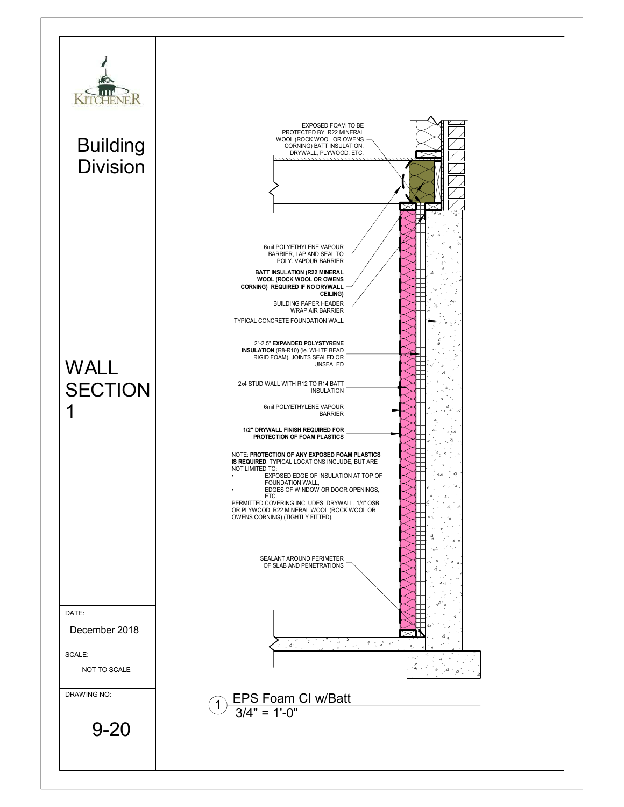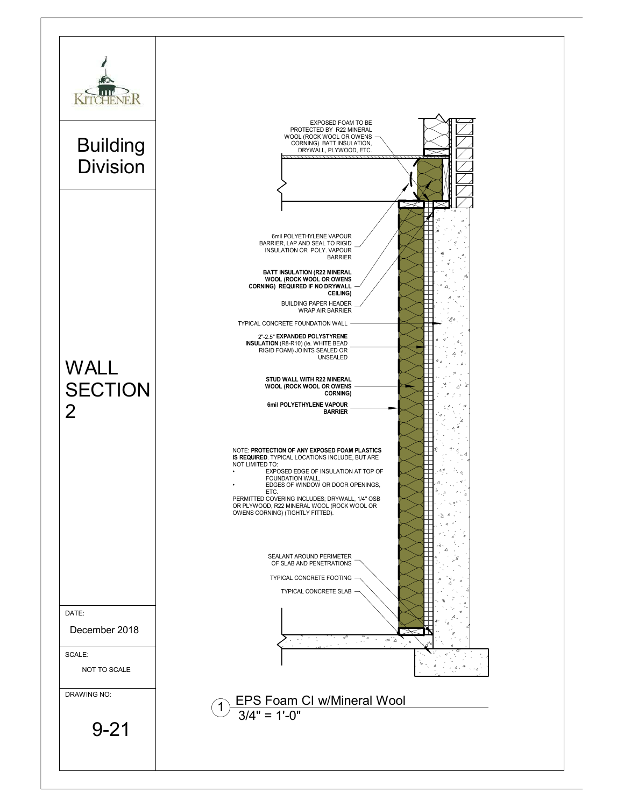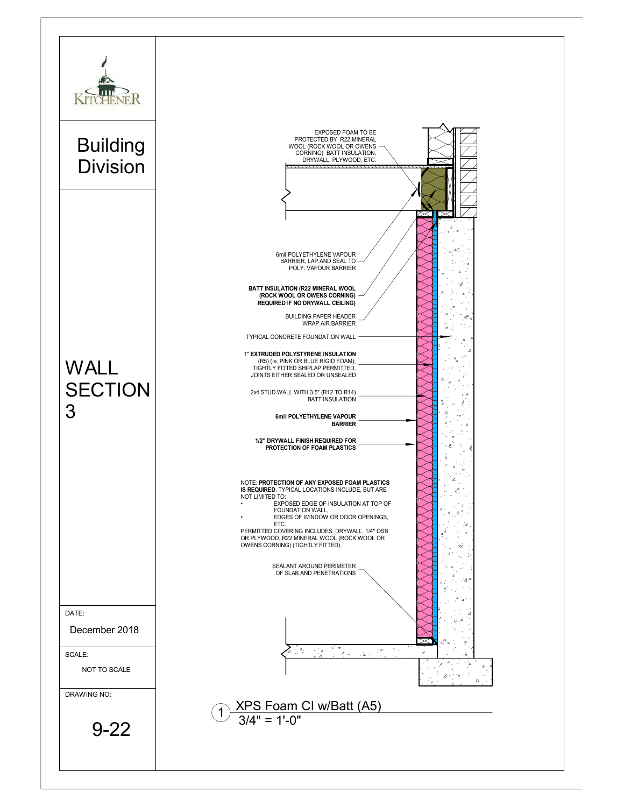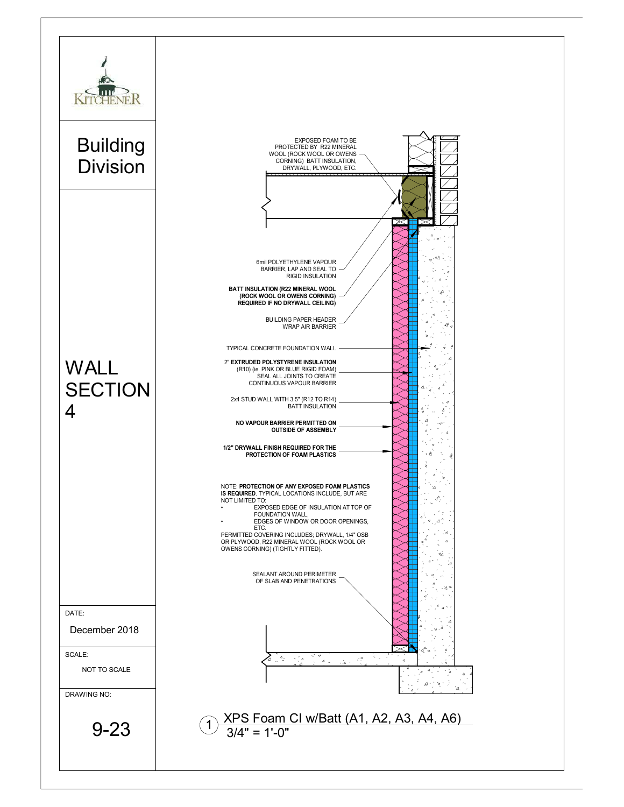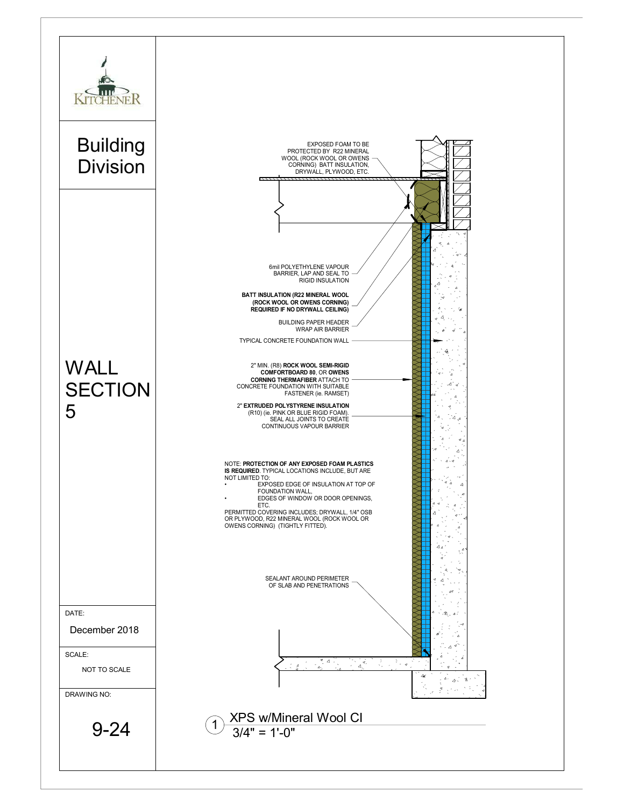